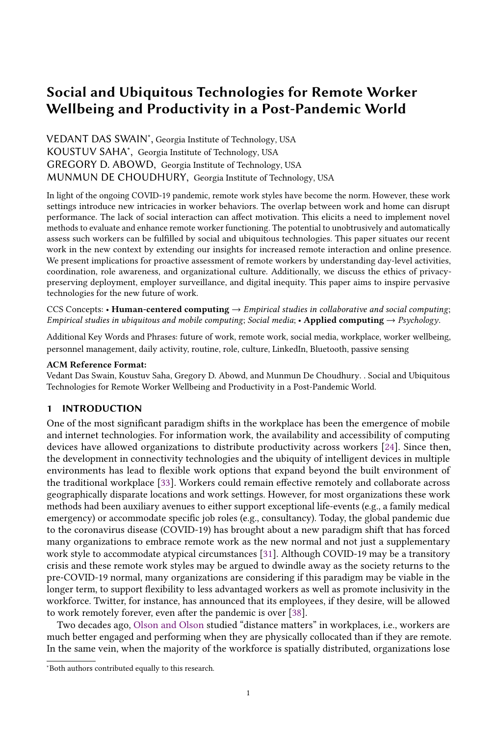VEDANT DAS SWAIN<sup>∗</sup> , Georgia Institute of Technology, USA KOUSTUV SAHA<sup>∗</sup> , Georgia Institute of Technology, USA GREGORY D. ABOWD, Georgia Institute of Technology, USA MUNMUN DE CHOUDHURY, Georgia Institute of Technology, USA

In light of the ongoing COVID-19 pandemic, remote work styles have become the norm. However, these work settings introduce new intricacies in worker behaviors. The overlap between work and home can disrupt performance. The lack of social interaction can affect motivation. This elicits a need to implement novel methods to evaluate and enhance remote worker functioning. The potential to unobtrusively and automatically assess such workers can be fulfilled by social and ubiquitous technologies. This paper situates our recent work in the new context by extending our insights for increased remote interaction and online presence. We present implications for proactive assessment of remote workers by understanding day-level activities, coordination, role awareness, and organizational culture. Additionally, we discuss the ethics of privacypreserving deployment, employer surveillance, and digital inequity. This paper aims to inspire pervasive technologies for the new future of work.

CCS Concepts: • Human-centered computing  $\rightarrow$  Empirical studies in collaborative and social computing; Empirical studies in ubiquitous and mobile computing; Social media; • Applied computing  $\rightarrow$  Psychology.

Additional Key Words and Phrases: future of work, remote work, social media, workplace, worker wellbeing, personnel management, daily activity, routine, role, culture, LinkedIn, Bluetooth, passive sensing

#### ACM Reference Format:

Vedant Das Swain, Koustuv Saha, Gregory D. Abowd, and Munmun De Choudhury. . Social and Ubiquitous Technologies for Remote Worker Wellbeing and Productivity in a Post-Pandemic World.

## 1 INTRODUCTION

One of the most significant paradigm shifts in the workplace has been the emergence of mobile and internet technologies. For information work, the availability and accessibility of computing devices have allowed organizations to distribute productivity across workers [\[24\]](#page-8-0). Since then, the development in connectivity technologies and the ubiquity of intelligent devices in multiple environments has lead to flexible work options that expand beyond the built environment of the traditional workplace [\[33\]](#page-8-1). Workers could remain effective remotely and collaborate across geographically disparate locations and work settings. However, for most organizations these work methods had been auxiliary avenues to either support exceptional life-events (e.g., a family medical emergency) or accommodate specific job roles (e.g., consultancy). Today, the global pandemic due to the coronavirus disease (COVID-19) has brought about a new paradigm shift that has forced many organizations to embrace remote work as the new normal and not just a supplementary work style to accommodate atypical circumstances [\[31\]](#page-8-2). Although COVID-19 may be a transitory crisis and these remote work styles may be argued to dwindle away as the society returns to the pre-COVID-19 normal, many organizations are considering if this paradigm may be viable in the longer term, to support flexibility to less advantaged workers as well as promote inclusivity in the workforce. Twitter, for instance, has announced that its employees, if they desire, will be allowed to work remotely forever, even after the pandemic is over [\[38\]](#page-9-0).

Two decades ago, [Olson and Olson](#page-9-1) studied "distance matters" in workplaces, i.e., workers are much better engaged and performing when they are physically collocated than if they are remote. In the same vein, when the majority of the workforce is spatially distributed, organizations lose

<sup>∗</sup>Both authors contributed equally to this research.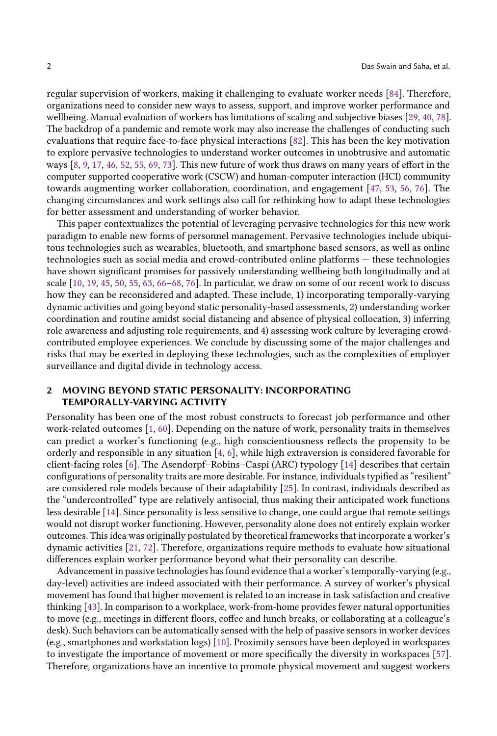regular supervision of workers, making it challenging to evaluate worker needs [\[84\]](#page-10-0). Therefore, organizations need to consider new ways to assess, support, and improve worker performance and wellbeing. Manual evaluation of workers has limitations of scaling and subjective biases [\[29,](#page-8-3) [40,](#page-9-2) [78\]](#page-10-1). The backdrop of a pandemic and remote work may also increase the challenges of conducting such evaluations that require face-to-face physical interactions [\[82\]](#page-10-2). This has been the key motivation to explore pervasive technologies to understand worker outcomes in unobtrusive and automatic ways [\[8,](#page-7-0) [9,](#page-7-1) [17,](#page-8-4) [46,](#page-9-3) [52,](#page-9-4) [55,](#page-9-5) [69,](#page-10-3) [73\]](#page-10-4). This new future of work thus draws on many years of effort in the computer supported cooperative work (CSCW) and human-computer interaction (HCI) community towards augmenting worker collaboration, coordination, and engagement [\[47,](#page-9-6) [53,](#page-9-7) [56,](#page-9-8) [76\]](#page-10-5). The changing circumstances and work settings also call for rethinking how to adapt these technologies for better assessment and understanding of worker behavior.

This paper contextualizes the potential of leveraging pervasive technologies for this new work paradigm to enable new forms of personnel management. Pervasive technologies include ubiquitous technologies such as wearables, bluetooth, and smartphone based sensors, as well as online technologies such as social media and crowd-contributed online platforms — these technologies have shown significant promises for passively understanding wellbeing both longitudinally and at scale [\[10,](#page-8-5) [19,](#page-8-6) [45,](#page-9-9) [50,](#page-9-10) [55,](#page-9-5) [63,](#page-10-6) [66–](#page-10-7)[68,](#page-10-8) [76\]](#page-10-5). In particular, we draw on some of our recent work to discuss how they can be reconsidered and adapted. These include, 1) incorporating temporally-varying dynamic activities and going beyond static personality-based assessments, 2) understanding worker coordination and routine amidst social distancing and absence of physical collocation, 3) inferring role awareness and adjusting role requirements, and 4) assessing work culture by leveraging crowdcontributed employee experiences. We conclude by discussing some of the major challenges and risks that may be exerted in deploying these technologies, such as the complexities of employer surveillance and digital divide in technology access.

# 2 MOVING BEYOND STATIC PERSONALITY: INCORPORATING TEMPORALLY-VARYING ACTIVITY

Personality has been one of the most robust constructs to forecast job performance and other work-related outcomes [\[1,](#page-7-2) [60\]](#page-9-11). Depending on the nature of work, personality traits in themselves can predict a worker's functioning (e.g., high conscientiousness reflects the propensity to be orderly and responsible in any situation [\[4,](#page-7-3) [6\]](#page-7-4), while high extraversion is considered favorable for client-facing roles [\[6\]](#page-7-4). The Asendorpf–Robins–Caspi (ARC) typology [\[14\]](#page-8-7) describes that certain configurations of personality traits are more desirable. For instance, individuals typified as "resilient" are considered role models because of their adaptability [\[25\]](#page-8-8). In contrast, individuals described as the "undercontrolled" type are relatively antisocial, thus making their anticipated work functions less desirable [\[14\]](#page-8-7). Since personality is less sensitive to change, one could argue that remote settings would not disrupt worker functioning. However, personality alone does not entirely explain worker outcomes. This idea was originally postulated by theoretical frameworks that incorporate a worker's dynamic activities [\[21,](#page-8-9) [72\]](#page-10-9). Therefore, organizations require methods to evaluate how situational differences explain worker performance beyond what their personality can describe.

Advancement in passive technologies has found evidence that a worker's temporally-varying (e.g., day-level) activities are indeed associated with their performance. A survey of worker's physical movement has found that higher movement is related to an increase in task satisfaction and creative thinking [\[43\]](#page-9-12). In comparison to a workplace, work-from-home provides fewer natural opportunities to move (e.g., meetings in different floors, coffee and lunch breaks, or collaborating at a colleague's desk). Such behaviors can be automatically sensed with the help of passive sensors in worker devices (e.g., smartphones and workstation logs) [\[10\]](#page-8-5). Proximity sensors have been deployed in workspaces to investigate the importance of movement or more specifically the diversity in workspaces [\[57\]](#page-9-13). Therefore, organizations have an incentive to promote physical movement and suggest workers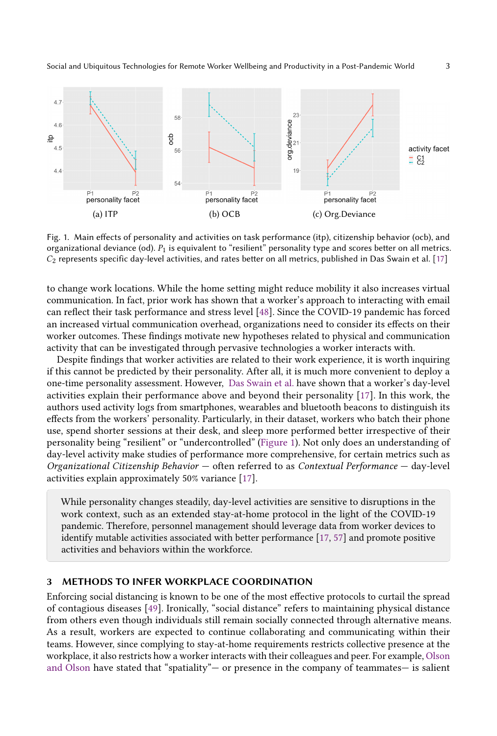<span id="page-2-0"></span>

Fig. 1. Main effects of personality and activities on task performance (itp), citizenship behavior (ocb), and organizational deviance (od).  $P_1$  is equivalent to "resilient" personality type and scores better on all metrics.  $C_2$  represents specific day-level activities, and rates better on all metrics, published in Das Swain et al. [\[17\]](#page-8-4)

to change work locations. While the home setting might reduce mobility it also increases virtual communication. In fact, prior work has shown that a worker's approach to interacting with email can reflect their task performance and stress level [\[48\]](#page-9-14). Since the COVID-19 pandemic has forced an increased virtual communication overhead, organizations need to consider its effects on their worker outcomes. These findings motivate new hypotheses related to physical and communication activity that can be investigated through pervasive technologies a worker interacts with.

Despite findings that worker activities are related to their work experience, it is worth inquiring if this cannot be predicted by their personality. After all, it is much more convenient to deploy a one-time personality assessment. However, [Das Swain et al.](#page-8-4) have shown that a worker's day-level activities explain their performance above and beyond their personality [\[17\]](#page-8-4). In this work, the authors used activity logs from smartphones, wearables and bluetooth beacons to distinguish its effects from the workers' personality. Particularly, in their dataset, workers who batch their phone use, spend shorter sessions at their desk, and sleep more performed better irrespective of their personality being "resilient" or "undercontrolled" [\(Figure 1\)](#page-2-0). Not only does an understanding of day-level activity make studies of performance more comprehensive, for certain metrics such as Organizational Citizenship Behavior — often referred to as Contextual Performance — day-level activities explain approximately 50% variance [\[17\]](#page-8-4).

While personality changes steadily, day-level activities are sensitive to disruptions in the work context, such as an extended stay-at-home protocol in the light of the COVID-19 pandemic. Therefore, personnel management should leverage data from worker devices to identify mutable activities associated with better performance [\[17,](#page-8-4) [57\]](#page-9-13) and promote positive activities and behaviors within the workforce.

# 3 METHODS TO INFER WORKPLACE COORDINATION

Enforcing social distancing is known to be one of the most effective protocols to curtail the spread of contagious diseases [\[49\]](#page-9-15). Ironically, "social distance" refers to maintaining physical distance from others even though individuals still remain socially connected through alternative means. As a result, workers are expected to continue collaborating and communicating within their teams. However, since complying to stay-at-home requirements restricts collective presence at the workplace, it also restricts how a worker interacts with their colleagues and peer. For example, [Olson](#page-9-1) [and Olson](#page-9-1) have stated that "spatiality"— or presence in the company of teammates— is salient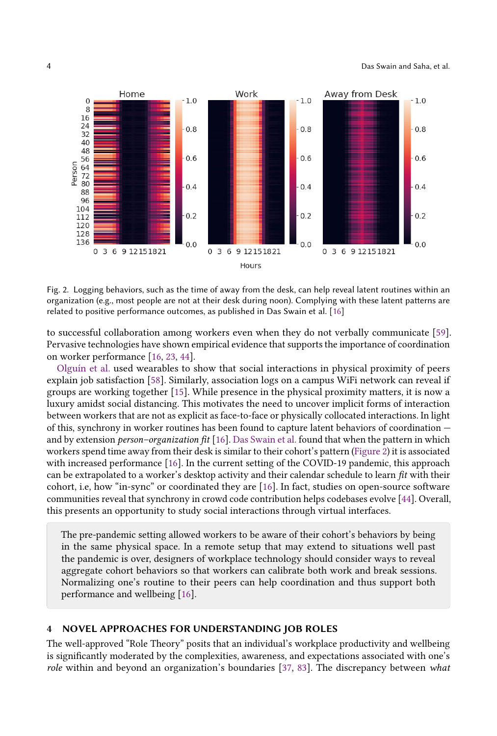<span id="page-3-0"></span>

Fig. 2. Logging behaviors, such as the time of away from the desk, can help reveal latent routines within an organization (e.g., most people are not at their desk during noon). Complying with these latent patterns are related to positive performance outcomes, as published in Das Swain et al. [\[16\]](#page-8-10)

to successful collaboration among workers even when they do not verbally communicate [\[59\]](#page-9-1). Pervasive technologies have shown empirical evidence that supports the importance of coordination on worker performance [\[16,](#page-8-10) [23,](#page-8-11) [44\]](#page-9-16).

[Olguín et al.](#page-9-17) used wearables to show that social interactions in physical proximity of peers explain job satisfaction [\[58\]](#page-9-17). Similarly, association logs on a campus WiFi network can reveal if groups are working together [\[15\]](#page-8-12). While presence in the physical proximity matters, it is now a luxury amidst social distancing. This motivates the need to uncover implicit forms of interaction between workers that are not as explicit as face-to-face or physically collocated interactions. In light of this, synchrony in worker routines has been found to capture latent behaviors of coordination and by extension person–organization fit [\[16\]](#page-8-10). [Das Swain et al.](#page-8-10) found that when the pattern in which workers spend time away from their desk is similar to their cohort's pattern [\(Figure 2\)](#page-3-0) it is associated with increased performance [\[16\]](#page-8-10). In the current setting of the COVID-19 pandemic, this approach can be extrapolated to a worker's desktop activity and their calendar schedule to learn  $fit$  with their cohort, i.e, how "in-sync" or coordinated they are [\[16\]](#page-8-10). In fact, studies on open-source software communities reveal that synchrony in crowd code contribution helps codebases evolve [\[44\]](#page-9-16). Overall, this presents an opportunity to study social interactions through virtual interfaces.

The pre-pandemic setting allowed workers to be aware of their cohort's behaviors by being in the same physical space. In a remote setup that may extend to situations well past the pandemic is over, designers of workplace technology should consider ways to reveal aggregate cohort behaviors so that workers can calibrate both work and break sessions. Normalizing one's routine to their peers can help coordination and thus support both performance and wellbeing [\[16\]](#page-8-10).

## 4 NOVEL APPROACHES FOR UNDERSTANDING JOB ROLES

The well-approved "Role Theory" posits that an individual's workplace productivity and wellbeing is significantly moderated by the complexities, awareness, and expectations associated with one's role within and beyond an organization's boundaries [\[37,](#page-9-18) [83\]](#page-10-10). The discrepancy between what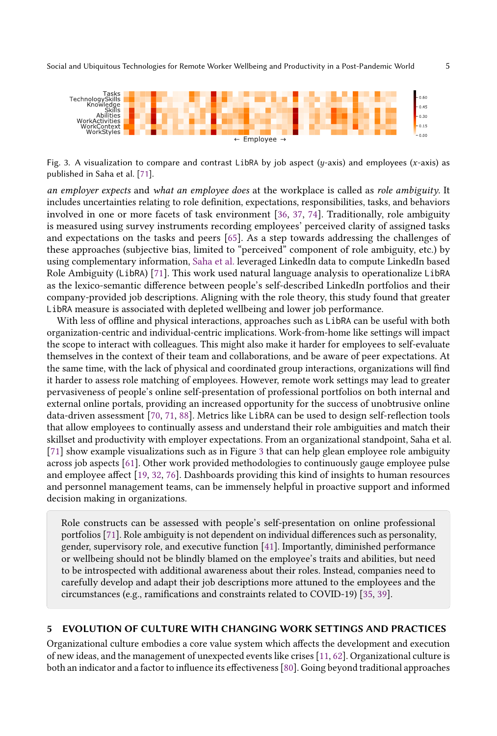<span id="page-4-0"></span>

Fig. 3. A visualization to compare and contrast LibRA by job aspect ( $y$ -axis) and employees (x-axis) as published in Saha et al. [\[71\]](#page-10-11).

an employer expects and what an employee does at the workplace is called as role ambiguity. It includes uncertainties relating to role definition, expectations, responsibilities, tasks, and behaviors involved in one or more facets of task environment [\[36,](#page-9-19) [37,](#page-9-18) [74\]](#page-10-12). Traditionally, role ambiguity is measured using survey instruments recording employees' perceived clarity of assigned tasks and expectations on the tasks and peers [\[65\]](#page-10-13). As a step towards addressing the challenges of these approaches (subjective bias, limited to "perceived" component of role ambiguity, etc.) by using complementary information, [Saha et al.](#page-10-11) leveraged LinkedIn data to compute LinkedIn based Role Ambiguity (LibRA) [\[71\]](#page-10-11). This work used natural language analysis to operationalize LibRA as the lexico-semantic difference between people's self-described LinkedIn portfolios and their company-provided job descriptions. Aligning with the role theory, this study found that greater LibRA measure is associated with depleted wellbeing and lower job performance.

With less of offline and physical interactions, approaches such as LibRA can be useful with both organization-centric and individual-centric implications. Work-from-home like settings will impact the scope to interact with colleagues. This might also make it harder for employees to self-evaluate themselves in the context of their team and collaborations, and be aware of peer expectations. At the same time, with the lack of physical and coordinated group interactions, organizations will find it harder to assess role matching of employees. However, remote work settings may lead to greater pervasiveness of people's online self-presentation of professional portfolios on both internal and external online portals, providing an increased opportunity for the success of unobtrusive online data-driven assessment [\[70,](#page-10-14) [71,](#page-10-11) [88\]](#page-10-15). Metrics like LibRA can be used to design self-reflection tools that allow employees to continually assess and understand their role ambiguities and match their skillset and productivity with employer expectations. From an organizational standpoint, Saha et al. [\[71\]](#page-10-11) show example visualizations such as in Figure [3](#page-4-0) that can help glean employee role ambiguity across job aspects [\[61\]](#page-9-20). Other work provided methodologies to continuously gauge employee pulse and employee affect [\[19,](#page-8-6) [32,](#page-8-13) [76\]](#page-10-5). Dashboards providing this kind of insights to human resources and personnel management teams, can be immensely helpful in proactive support and informed decision making in organizations.

Role constructs can be assessed with people's self-presentation on online professional portfolios [\[71\]](#page-10-11). Role ambiguity is not dependent on individual differences such as personality, gender, supervisory role, and executive function [\[41\]](#page-9-21). Importantly, diminished performance or wellbeing should not be blindly blamed on the employee's traits and abilities, but need to be introspected with additional awareness about their roles. Instead, companies need to carefully develop and adapt their job descriptions more attuned to the employees and the circumstances (e.g., ramifications and constraints related to COVID-19) [\[35,](#page-8-14) [39\]](#page-9-22).

#### 5 EVOLUTION OF CULTURE WITH CHANGING WORK SETTINGS AND PRACTICES

Organizational culture embodies a core value system which affects the development and execution of new ideas, and the management of unexpected events like crises [\[11,](#page-8-15) [62\]](#page-9-23). Organizational culture is both an indicator and a factor to influence its effectiveness [\[80\]](#page-10-16). Going beyond traditional approaches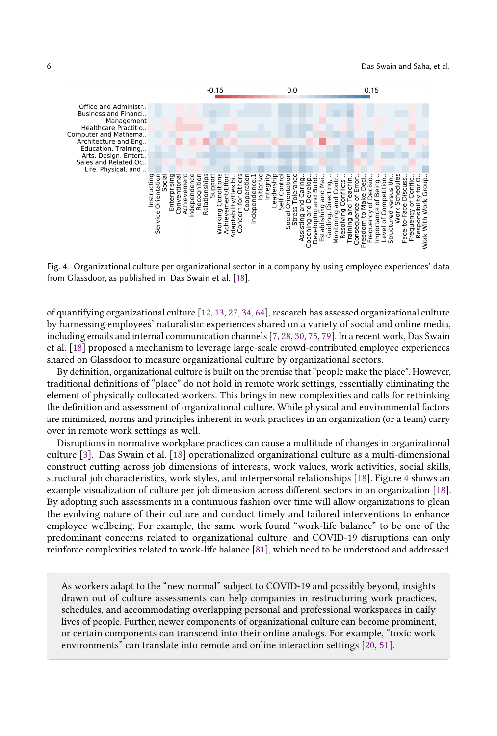<span id="page-5-0"></span>

Fig. 4. Organizational culture per organizational sector in a company by using employee experiences' data from Glassdoor, as published in Das Swain et al. [\[18\]](#page-8-16).

of quantifying organizational culture [\[12,](#page-8-17) [13,](#page-8-18) [27,](#page-8-19) [34,](#page-8-20) [64\]](#page-10-17), research has assessed organizational culture by harnessing employees' naturalistic experiences shared on a variety of social and online media, including emails and internal communication channels [\[7,](#page-7-5) [28,](#page-8-21) [30,](#page-8-22) [75,](#page-10-18) [79\]](#page-10-19). In a recent work, Das Swain et al. [\[18\]](#page-8-16) proposed a mechanism to leverage large-scale crowd-contributed employee experiences shared on Glassdoor to measure organizational culture by organizational sectors.

By definition, organizational culture is built on the premise that "people make the place". However, traditional definitions of "place" do not hold in remote work settings, essentially eliminating the element of physically collocated workers. This brings in new complexities and calls for rethinking the definition and assessment of organizational culture. While physical and environmental factors are minimized, norms and principles inherent in work practices in an organization (or a team) carry over in remote work settings as well.

Disruptions in normative workplace practices can cause a multitude of changes in organizational culture [\[3\]](#page-7-6). Das Swain et al. [\[18\]](#page-8-16) operationalized organizational culture as a multi-dimensional construct cutting across job dimensions of interests, work values, work activities, social skills, structural job characteristics, work styles, and interpersonal relationships [\[18\]](#page-8-16). Figure [4](#page-5-0) shows an example visualization of culture per job dimension across different sectors in an organization [\[18\]](#page-8-16). By adopting such assessments in a continuous fashion over time will allow organizations to glean the evolving nature of their culture and conduct timely and tailored interventions to enhance employee wellbeing. For example, the same work found "work-life balance" to be one of the predominant concerns related to organizational culture, and COVID-19 disruptions can only reinforce complexities related to work-life balance [\[81\]](#page-10-20), which need to be understood and addressed.

As workers adapt to the "new normal" subject to COVID-19 and possibly beyond, insights drawn out of culture assessments can help companies in restructuring work practices, schedules, and accommodating overlapping personal and professional workspaces in daily lives of people. Further, newer components of organizational culture can become prominent, or certain components can transcend into their online analogs. For example, "toxic work environments" can translate into remote and online interaction settings [\[20,](#page-8-23) [51\]](#page-9-24).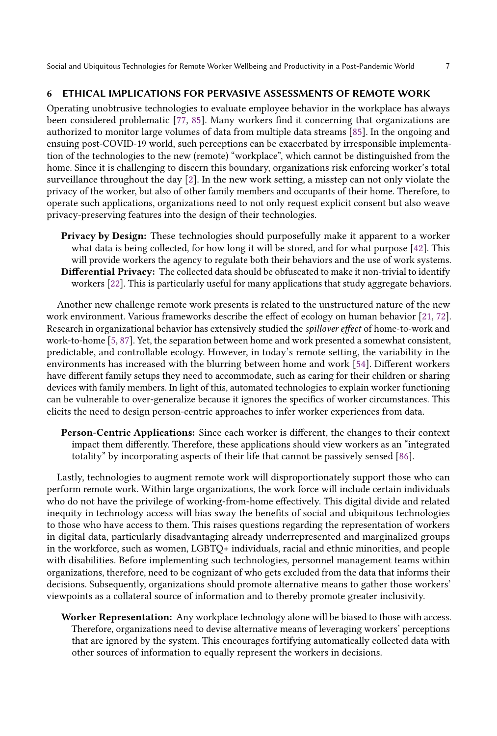# 6 ETHICAL IMPLICATIONS FOR PERVASIVE ASSESSMENTS OF REMOTE WORK

Operating unobtrusive technologies to evaluate employee behavior in the workplace has always been considered problematic [\[77,](#page-10-21) [85\]](#page-10-22). Many workers find it concerning that organizations are authorized to monitor large volumes of data from multiple data streams [\[85\]](#page-10-22). In the ongoing and ensuing post-COVID-19 world, such perceptions can be exacerbated by irresponsible implementation of the technologies to the new (remote) "workplace", which cannot be distinguished from the home. Since it is challenging to discern this boundary, organizations risk enforcing worker's total surveillance throughout the day [\[2\]](#page-7-7). In the new work setting, a misstep can not only violate the privacy of the worker, but also of other family members and occupants of their home. Therefore, to operate such applications, organizations need to not only request explicit consent but also weave privacy-preserving features into the design of their technologies.

Privacy by Design: These technologies should purposefully make it apparent to a worker what data is being collected, for how long it will be stored, and for what purpose [\[42\]](#page-9-25). This will provide workers the agency to regulate both their behaviors and the use of work systems. Differential Privacy: The collected data should be obfuscated to make it non-trivial to identify workers [\[22\]](#page-8-24). This is particularly useful for many applications that study aggregate behaviors.

Another new challenge remote work presents is related to the unstructured nature of the new work environment. Various frameworks describe the effect of ecology on human behavior [\[21,](#page-8-9) [72\]](#page-10-9). Research in organizational behavior has extensively studied the spillover effect of home-to-work and work-to-home [\[5,](#page-7-8) [87\]](#page-10-23). Yet, the separation between home and work presented a somewhat consistent, predictable, and controllable ecology. However, in today's remote setting, the variability in the environments has increased with the blurring between home and work [\[54\]](#page-9-26). Different workers have different family setups they need to accommodate, such as caring for their children or sharing devices with family members. In light of this, automated technologies to explain worker functioning can be vulnerable to over-generalize because it ignores the specifics of worker circumstances. This elicits the need to design person-centric approaches to infer worker experiences from data.

Person-Centric Applications: Since each worker is different, the changes to their context impact them differently. Therefore, these applications should view workers as an "integrated totality" by incorporating aspects of their life that cannot be passively sensed [\[86\]](#page-10-24).

Lastly, technologies to augment remote work will disproportionately support those who can perform remote work. Within large organizations, the work force will include certain individuals who do not have the privilege of working-from-home effectively. This digital divide and related inequity in technology access will bias sway the benefits of social and ubiquitous technologies to those who have access to them. This raises questions regarding the representation of workers in digital data, particularly disadvantaging already underrepresented and marginalized groups in the workforce, such as women, LGBTQ+ individuals, racial and ethnic minorities, and people with disabilities. Before implementing such technologies, personnel management teams within organizations, therefore, need to be cognizant of who gets excluded from the data that informs their decisions. Subsequently, organizations should promote alternative means to gather those workers' viewpoints as a collateral source of information and to thereby promote greater inclusivity.

Worker Representation: Any workplace technology alone will be biased to those with access. Therefore, organizations need to devise alternative means of leveraging workers' perceptions that are ignored by the system. This encourages fortifying automatically collected data with other sources of information to equally represent the workers in decisions.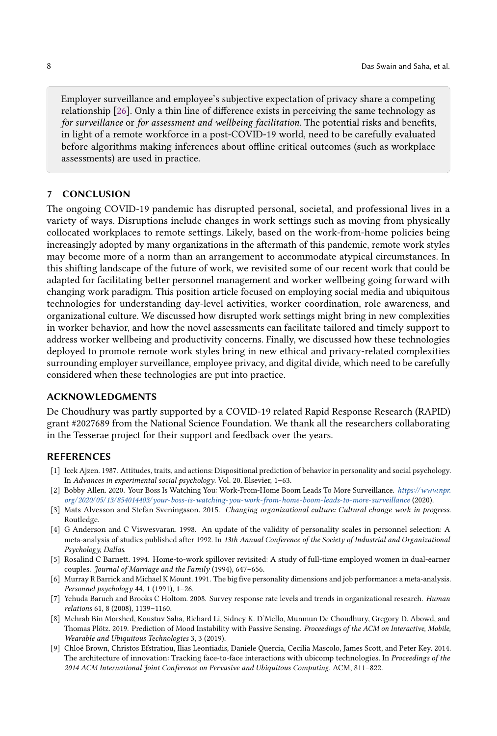Employer surveillance and employee's subjective expectation of privacy share a competing relationship [\[26\]](#page-8-25). Only a thin line of difference exists in perceiving the same technology as for surveillance or for assessment and wellbeing facilitation. The potential risks and benefits, in light of a remote workforce in a post-COVID-19 world, need to be carefully evaluated before algorithms making inferences about offline critical outcomes (such as workplace assessments) are used in practice.

### 7 CONCLUSION

The ongoing COVID-19 pandemic has disrupted personal, societal, and professional lives in a variety of ways. Disruptions include changes in work settings such as moving from physically collocated workplaces to remote settings. Likely, based on the work-from-home policies being increasingly adopted by many organizations in the aftermath of this pandemic, remote work styles may become more of a norm than an arrangement to accommodate atypical circumstances. In this shifting landscape of the future of work, we revisited some of our recent work that could be adapted for facilitating better personnel management and worker wellbeing going forward with changing work paradigm. This position article focused on employing social media and ubiquitous technologies for understanding day-level activities, worker coordination, role awareness, and organizational culture. We discussed how disrupted work settings might bring in new complexities in worker behavior, and how the novel assessments can facilitate tailored and timely support to address worker wellbeing and productivity concerns. Finally, we discussed how these technologies deployed to promote remote work styles bring in new ethical and privacy-related complexities surrounding employer surveillance, employee privacy, and digital divide, which need to be carefully considered when these technologies are put into practice.

## ACKNOWLEDGMENTS

De Choudhury was partly supported by a COVID-19 related Rapid Response Research (RAPID) grant #2027689 from the National Science Foundation. We thank all the researchers collaborating in the Tesserae project for their support and feedback over the years.

# **REFERENCES**

- <span id="page-7-2"></span>[1] Icek Ajzen. 1987. Attitudes, traits, and actions: Dispositional prediction of behavior in personality and social psychology. In Advances in experimental social psychology. Vol. 20. Elsevier, 1–63.
- <span id="page-7-7"></span>[2] Bobby Allen. 2020. Your Boss Is Watching You: Work-From-Home Boom Leads To More Surveillance. [https://www.npr.](https://www.npr.org/2020/05/13/854014403/your-boss-is-watching-you-work-from-home-boom-leads-to-more-surveillance) [org/ 2020/ 05/ 13/ 854014403/ your-boss-is-watching-you-work-from-home-boom-leads-to-more-surveillance](https://www.npr.org/2020/05/13/854014403/your-boss-is-watching-you-work-from-home-boom-leads-to-more-surveillance) (2020).
- <span id="page-7-6"></span>[3] Mats Alvesson and Stefan Sveningsson. 2015. Changing organizational culture: Cultural change work in progress. Routledge.
- <span id="page-7-3"></span>[4] G Anderson and C Viswesvaran. 1998. An update of the validity of personality scales in personnel selection: A meta-analysis of studies published after 1992. In 13th Annual Conference of the Society of Industrial and Organizational Psychology, Dallas.
- <span id="page-7-8"></span>[5] Rosalind C Barnett. 1994. Home-to-work spillover revisited: A study of full-time employed women in dual-earner couples. Journal of Marriage and the Family (1994), 647–656.
- <span id="page-7-4"></span>[6] Murray R Barrick and Michael K Mount. 1991. The big five personality dimensions and job performance: a meta-analysis. Personnel psychology 44, 1 (1991), 1–26.
- <span id="page-7-5"></span>[7] Yehuda Baruch and Brooks C Holtom. 2008. Survey response rate levels and trends in organizational research. Human relations 61, 8 (2008), 1139–1160.
- <span id="page-7-0"></span>[8] Mehrab Bin Morshed, Koustuv Saha, Richard Li, Sidney K. D'Mello, Munmun De Choudhury, Gregory D. Abowd, and Thomas Plötz. 2019. Prediction of Mood Instability with Passive Sensing. Proceedings of the ACM on Interactive, Mobile, Wearable and Ubiquitous Technologies 3, 3 (2019).
- <span id="page-7-1"></span>[9] Chloë Brown, Christos Efstratiou, Ilias Leontiadis, Daniele Quercia, Cecilia Mascolo, James Scott, and Peter Key. 2014. The architecture of innovation: Tracking face-to-face interactions with ubicomp technologies. In Proceedings of the 2014 ACM International Joint Conference on Pervasive and Ubiquitous Computing. ACM, 811–822.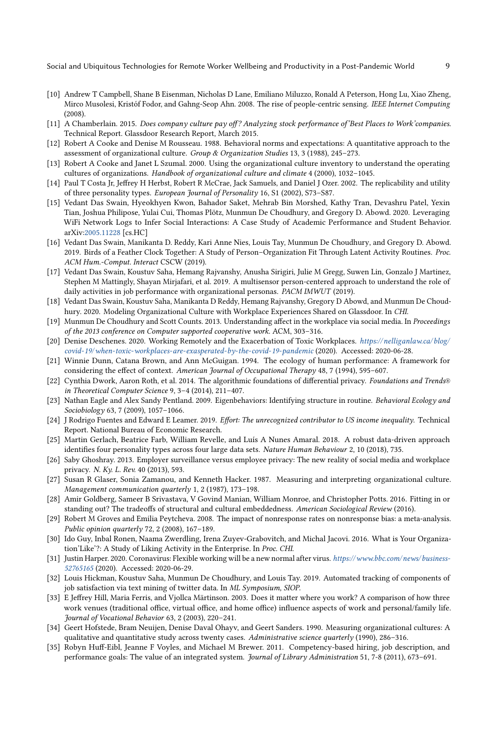- <span id="page-8-5"></span>[10] Andrew T Campbell, Shane B Eisenman, Nicholas D Lane, Emiliano Miluzzo, Ronald A Peterson, Hong Lu, Xiao Zheng, Mirco Musolesi, Kristóf Fodor, and Gahng-Seop Ahn. 2008. The rise of people-centric sensing. IEEE Internet Computing (2008).
- <span id="page-8-15"></span>[11] A Chamberlain. 2015. Does company culture pay off? Analyzing stock performance of'Best Places to Work'companies. Technical Report. Glassdoor Research Report, March 2015.
- <span id="page-8-17"></span>[12] Robert A Cooke and Denise M Rousseau. 1988. Behavioral norms and expectations: A quantitative approach to the assessment of organizational culture. Group & Organization Studies 13, 3 (1988), 245–273.
- <span id="page-8-18"></span>[13] Robert A Cooke and Janet L Szumal. 2000. Using the organizational culture inventory to understand the operating cultures of organizations. Handbook of organizational culture and climate 4 (2000), 1032–1045.
- <span id="page-8-7"></span>[14] Paul T Costa Jr, Jeffrey H Herbst, Robert R McCrae, Jack Samuels, and Daniel J Ozer. 2002. The replicability and utility of three personality types. European Journal of Personality 16, S1 (2002), S73–S87.
- <span id="page-8-12"></span>[15] Vedant Das Swain, Hyeokhyen Kwon, Bahador Saket, Mehrab Bin Morshed, Kathy Tran, Devashru Patel, Yexin Tian, Joshua Philipose, Yulai Cui, Thomas Plötz, Munmun De Choudhury, and Gregory D. Abowd. 2020. Leveraging WiFi Network Logs to Infer Social Interactions: A Case Study of Academic Performance and Student Behavior. arXiv[:2005.11228](https://arxiv.org/abs/2005.11228) [cs.HC]
- <span id="page-8-10"></span>[16] Vedant Das Swain, Manikanta D. Reddy, Kari Anne Nies, Louis Tay, Munmun De Choudhury, and Gregory D. Abowd. 2019. Birds of a Feather Clock Together: A Study of Person–Organization Fit Through Latent Activity Routines. Proc. ACM Hum.-Comput. Interact CSCW (2019).
- <span id="page-8-4"></span>[17] Vedant Das Swain, Koustuv Saha, Hemang Rajvanshy, Anusha Sirigiri, Julie M Gregg, Suwen Lin, Gonzalo J Martinez, Stephen M Mattingly, Shayan Mirjafari, et al. 2019. A multisensor person-centered approach to understand the role of daily activities in job performance with organizational personas. PACM IMWUT (2019).
- <span id="page-8-16"></span>[18] Vedant Das Swain, Koustuv Saha, Manikanta D Reddy, Hemang Rajvanshy, Gregory D Abowd, and Munmun De Choudhury. 2020. Modeling Organizational Culture with Workplace Experiences Shared on Glassdoor. In CHI.
- <span id="page-8-6"></span>[19] Munmun De Choudhury and Scott Counts. 2013. Understanding affect in the workplace via social media. In Proceedings of the 2013 conference on Computer supported cooperative work. ACM, 303–316.
- <span id="page-8-23"></span>[20] Denise Deschenes. 2020. Working Remotely and the Exacerbation of Toxic Workplaces. https://nelliganlaw.ca/blog/ [covid-19/when-toxic-workplaces-are-exasperated-by-the-covid-19-pandemic](https://nelliganlaw.ca/blog/covid-19/when-toxic-workplaces-are-exasperated-by-the-covid-19-pandemic) (2020). Accessed: 2020-06-28.
- <span id="page-8-9"></span>[21] Winnie Dunn, Catana Brown, and Ann McGuigan. 1994. The ecology of human performance: A framework for considering the effect of context. American Journal of Occupational Therapy 48, 7 (1994), 595–607.
- <span id="page-8-24"></span>[22] Cynthia Dwork, Aaron Roth, et al. 2014. The algorithmic foundations of differential privacy. Foundations and Trends® in Theoretical Computer Science 9, 3–4 (2014), 211–407.
- <span id="page-8-11"></span>[23] Nathan Eagle and Alex Sandy Pentland. 2009. Eigenbehaviors: Identifying structure in routine. Behavioral Ecology and Sociobiology 63, 7 (2009), 1057–1066.
- <span id="page-8-0"></span>[24] J Rodrigo Fuentes and Edward E Leamer. 2019. Effort: The unrecognized contributor to US income inequality. Technical Report. National Bureau of Economic Research.
- <span id="page-8-8"></span>[25] Martin Gerlach, Beatrice Farb, William Revelle, and Luís A Nunes Amaral. 2018. A robust data-driven approach identifies four personality types across four large data sets. Nature Human Behaviour 2, 10 (2018), 735.
- <span id="page-8-25"></span>[26] Saby Ghoshray. 2013. Employer surveillance versus employee privacy: The new reality of social media and workplace privacy. N. Ky. L. Rev. 40 (2013), 593.
- <span id="page-8-19"></span>[27] Susan R Glaser, Sonia Zamanou, and Kenneth Hacker. 1987. Measuring and interpreting organizational culture. Management communication quarterly 1, 2 (1987), 173–198.
- <span id="page-8-21"></span>[28] Amir Goldberg, Sameer B Srivastava, V Govind Manian, William Monroe, and Christopher Potts. 2016. Fitting in or standing out? The tradeoffs of structural and cultural embeddedness. American Sociological Review (2016).
- <span id="page-8-3"></span>[29] Robert M Groves and Emilia Peytcheva. 2008. The impact of nonresponse rates on nonresponse bias: a meta-analysis. Public opinion quarterly 72, 2 (2008), 167–189.
- <span id="page-8-22"></span>[30] Ido Guy, Inbal Ronen, Naama Zwerdling, Irena Zuyev-Grabovitch, and Michal Jacovi. 2016. What is Your Organization'Like'?: A Study of Liking Activity in the Enterprise. In Proc. CHI.
- <span id="page-8-2"></span>[31] Justin Harper. 2020. Coronavirus: Flexible working will be a new normal after virus. [https://www.bbc.com/ news/business-](https://www.bbc.com/news/business-52765165)[52765165](https://www.bbc.com/news/business-52765165) (2020). Accessed: 2020-06-29.
- <span id="page-8-13"></span>[32] Louis Hickman, Koustuv Saha, Munmun De Choudhury, and Louis Tay. 2019. Automated tracking of components of job satisfaction via text mining of twitter data. In ML Symposium, SIOP.
- <span id="page-8-1"></span>[33] E Jeffrey Hill, Maria Ferris, and Vjollca Märtinson. 2003. Does it matter where you work? A comparison of how three work venues (traditional office, virtual office, and home office) influence aspects of work and personal/family life. Journal of Vocational Behavior 63, 2 (2003), 220–241.
- <span id="page-8-20"></span>[34] Geert Hofstede, Bram Neuijen, Denise Daval Ohayv, and Geert Sanders. 1990. Measuring organizational cultures: A qualitative and quantitative study across twenty cases. Administrative science quarterly (1990), 286-316.
- <span id="page-8-14"></span>[35] Robyn Huff-Eibl, Jeanne F Voyles, and Michael M Brewer. 2011. Competency-based hiring, job description, and performance goals: The value of an integrated system. Journal of Library Administration 51, 7-8 (2011), 673–691.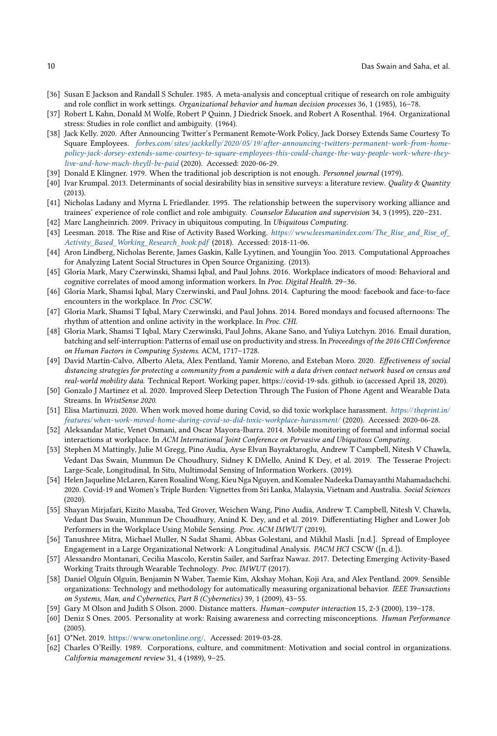- <span id="page-9-19"></span>[36] Susan E Jackson and Randall S Schuler. 1985. A meta-analysis and conceptual critique of research on role ambiguity and role conflict in work settings. Organizational behavior and human decision processes 36, 1 (1985), 16–78.
- <span id="page-9-18"></span>[37] Robert L Kahn, Donald M Wolfe, Robert P Quinn, J Diedrick Snoek, and Robert A Rosenthal. 1964. Organizational stress: Studies in role conflict and ambiguity. (1964).
- <span id="page-9-0"></span>[38] Jack Kelly. 2020. After Announcing Twitter's Permanent Remote-Work Policy, Jack Dorsey Extends Same Courtesy To Square Employees. forbes.com/sites/jackkelly/2020/05/19/after-announcing-twitters-permanent-work-from-home[policy-jack-dorsey-extends-same-courtesy-to-square-employees-this-could-change-the-way-people-work-where-they](forbes.com/sites/jackkelly/2020/05/19/after-announcing-twitters-permanent-work-from-home-policy-jack-dorsey-extends-same-courtesy-to-square-employees-this-could-change-the-way-people-work-where-they-live-and-how-much-theyll-be-paid)[live-and-how-much-theyll-be-paid](forbes.com/sites/jackkelly/2020/05/19/after-announcing-twitters-permanent-work-from-home-policy-jack-dorsey-extends-same-courtesy-to-square-employees-this-could-change-the-way-people-work-where-they-live-and-how-much-theyll-be-paid) (2020). Accessed: 2020-06-29.
- <span id="page-9-22"></span>[39] Donald E Klingner. 1979. When the traditional job description is not enough. Personnel journal (1979).
- <span id="page-9-2"></span>[40] Ivar Krumpal. 2013. Determinants of social desirability bias in sensitive surveys: a literature review. Quality & Quantity (2013).
- <span id="page-9-21"></span>[41] Nicholas Ladany and Myrna L Friedlander. 1995. The relationship between the supervisory working alliance and trainees' experience of role conflict and role ambiguity. Counselor Education and supervision 34, 3 (1995), 220–231.
- <span id="page-9-25"></span>[42] Marc Langheinrich. 2009. Privacy in ubiquitous computing. In Ubiquitous Computing.
- <span id="page-9-12"></span>[43] Leesman. 2018. The Rise and Rise of Activity Based Working. https://www.leesmanindex.com/The\_Rise\_and\_Rise\_of\_ [Activity\\_Based\\_Working\\_Research\\_book.pdf](https://www.leesmanindex.com/The_Rise_and_Rise_of_Activity_Based_Working_Research_book.pdf) (2018). Accessed: 2018-11-06.
- <span id="page-9-16"></span>[44] Aron Lindberg, Nicholas Berente, James Gaskin, Kalle Lyytinen, and Youngjin Yoo. 2013. Computational Approaches for Analyzing Latent Social Structures in Open Source Organizing. (2013).
- <span id="page-9-9"></span>[45] Gloria Mark, Mary Czerwinski, Shamsi Iqbal, and Paul Johns. 2016. Workplace indicators of mood: Behavioral and cognitive correlates of mood among information workers. In Proc. Digital Health. 29–36.
- <span id="page-9-3"></span>[46] Gloria Mark, Shamsi Iqbal, Mary Czerwinski, and Paul Johns. 2014. Capturing the mood: facebook and face-to-face encounters in the workplace. In Proc. CSCW.
- <span id="page-9-6"></span>[47] Gloria Mark, Shamsi T Iqbal, Mary Czerwinski, and Paul Johns. 2014. Bored mondays and focused afternoons: The rhythm of attention and online activity in the workplace. In Proc. CHI.
- <span id="page-9-14"></span>[48] Gloria Mark, Shamsi T Iqbal, Mary Czerwinski, Paul Johns, Akane Sano, and Yuliya Lutchyn. 2016. Email duration, batching and self-interruption: Patterns of email use on productivity and stress. In Proceedings of the 2016 CHI Conference on Human Factors in Computing Systems. ACM, 1717–1728.
- <span id="page-9-15"></span>[49] David Martín-Calvo, Alberto Aleta, Alex Pentland, Yamir Moreno, and Esteban Moro. 2020. Effectiveness of social distancing strategies for protecting a community from a pandemic with a data driven contact network based on census and real-world mobility data. Technical Report. Working paper, https://covid-19-sds. github. io (accessed April 18, 2020).
- <span id="page-9-10"></span>[50] Gonzalo J Martinez et al. 2020. Improved Sleep Detection Through The Fusion of Phone Agent and Wearable Data Streams. In WristSense 2020.
- <span id="page-9-24"></span>[51] Elisa Martinuzzi. 2020. When work moved home during Covid, so did toxic workplace harassment. [https:// theprint.in/](https://theprint.in/features/when-work-moved-home-during-covid-so-did-toxic-workplace-harassment/) [features/when-work-moved-home-during-covid-so-did-toxic-workplace-harassment/](https://theprint.in/features/when-work-moved-home-during-covid-so-did-toxic-workplace-harassment/) (2020). Accessed: 2020-06-28.
- <span id="page-9-4"></span>[52] Aleksandar Matic, Venet Osmani, and Oscar Mayora-Ibarra. 2014. Mobile monitoring of formal and informal social interactions at workplace. In ACM International Joint Conference on Pervasive and Ubiquitous Computing.
- <span id="page-9-7"></span>[53] Stephen M Mattingly, Julie M Gregg, Pino Audia, Ayse Elvan Bayraktaroglu, Andrew T Campbell, Nitesh V Chawla, Vedant Das Swain, Munmun De Choudhury, Sidney K DMello, Anind K Dey, et al. 2019. The Tesserae Project: Large-Scale, Longitudinal, In Situ, Multimodal Sensing of Information Workers. (2019).
- <span id="page-9-26"></span>[54] Helen Jaqueline McLaren, Karen Rosalind Wong, Kieu Nga Nguyen, and Komalee Nadeeka Damayanthi Mahamadachchi. 2020. Covid-19 and Women's Triple Burden: Vignettes from Sri Lanka, Malaysia, Vietnam and Australia. Social Sciences (2020).
- <span id="page-9-5"></span>[55] Shayan Mirjafari, Kizito Masaba, Ted Grover, Weichen Wang, Pino Audia, Andrew T. Campbell, Nitesh V. Chawla, Vedant Das Swain, Munmun De Choudhury, Anind K. Dey, and et al. 2019. Differentiating Higher and Lower Job Performers in the Workplace Using Mobile Sensing. Proc. ACM IMWUT (2019).
- <span id="page-9-8"></span>[56] Tanushree Mitra, Michael Muller, N Sadat Shami, Abbas Golestani, and Mikhil Masli. [n.d.]. Spread of Employee Engagement in a Large Organizational Network: A Longitudinal Analysis. PACM HCI CSCW ([n. d.]).
- <span id="page-9-13"></span>[57] Alessandro Montanari, Cecilia Mascolo, Kerstin Sailer, and Sarfraz Nawaz. 2017. Detecting Emerging Activity-Based Working Traits through Wearable Technology. Proc. IMWUT (2017).
- <span id="page-9-17"></span>[58] Daniel Olguín Olguín, Benjamin N Waber, Taemie Kim, Akshay Mohan, Koji Ara, and Alex Pentland. 2009. Sensible organizations: Technology and methodology for automatically measuring organizational behavior. IEEE Transactions on Systems, Man, and Cybernetics, Part B (Cybernetics) 39, 1 (2009), 43–55.
- <span id="page-9-1"></span>[59] Gary M Olson and Judith S Olson. 2000. Distance matters. Human–computer interaction 15, 2-3 (2000), 139–178.
- <span id="page-9-11"></span>[60] Deniz S Ones. 2005. Personality at work: Raising awareness and correcting misconceptions. Human Performance (2005).
- <span id="page-9-20"></span>[61] O\*Net. 2019. [https://www.onetonline.org/.](https://www.onetonline.org/) Accessed: 2019-03-28.
- <span id="page-9-23"></span>[62] Charles O'Reilly. 1989. Corporations, culture, and commitment: Motivation and social control in organizations. California management review 31, 4 (1989), 9–25.